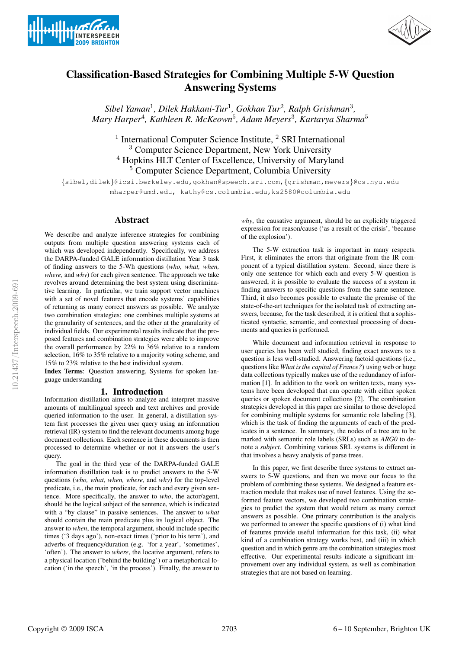



# Classification-Based Strategies for Combining Multiple 5-W Question Answering Systems

*Sibel Yaman*<sup>1</sup> *, Dilek Hakkani-Tur*<sup>1</sup> *, Gokhan Tur*<sup>2</sup> *, Ralph Grishman*<sup>3</sup> *, Mary Harper*<sup>4</sup> *, Kathleen R. McKeown*<sup>5</sup> *, Adam Meyers*<sup>3</sup> *, Kartavya Sharma*<sup>5</sup>

<sup>1</sup> International Computer Science Institute, <sup>2</sup> SRI International <sup>3</sup> Computer Science Department, New York University <sup>4</sup> Hopkins HLT Center of Excellence, University of Maryland <sup>5</sup> Computer Science Department, Columbia University

{sibel,dilek}@icsi.berkeley.edu,gokhan@speech.sri.com,{grishman,meyers}@cs.nyu.edu mharper@umd.edu, kathy@cs.columbia.edu,ks2580@columbia.edu

# Abstract

We describe and analyze inference strategies for combining outputs from multiple question answering systems each of which was developed independently. Specifically, we address the DARPA-funded GALE information distillation Year 3 task of finding answers to the 5-Wh questions (*who, what, when, where,* and *why*) for each given sentence. The approach we take revolves around determining the best system using discriminative learning. In particular, we train support vector machines with a set of novel features that encode systems' capabilities of returning as many correct answers as possible. We analyze two combination strategies: one combines multiple systems at the granularity of sentences, and the other at the granularity of individual fields. Our experimental results indicate that the proposed features and combination strategies were able to improve the overall performance by 22% to 36% relative to a random selection, 16% to 35% relative to a majority voting scheme, and 15% to 23% relative to the best individual system.

Index Terms: Question answering, Systems for spoken language understanding

# 1. Introduction

Information distillation aims to analyze and interpret massive amounts of multilingual speech and text archives and provide queried information to the user. In general, a distillation system first processes the given user query using an information retrieval (IR) system to find the relevant documents among huge document collections. Each sentence in these documents is then processed to determine whether or not it answers the user's query.

The goal in the third year of the DARPA-funded GALE information distillation task is to predict answers to the 5-W questions (*who, what, when, where,* and *why*) for the top-level predicate, i.e., the main predicate, for each and every given sentence. More specifically, the answer to *who*, the actor/agent, should be the logical subject of the sentence, which is indicated with a "by clause" in passive sentences. The answer to *what* should contain the main predicate plus its logical object. The answer to *when*, the temporal argument, should include specific times ('3 days ago'), non-exact times ('prior to his term'), and adverbs of frequency/duration (e.g. 'for a year', 'sometimes', 'often'). The answer to *where*, the locative argument, refers to a physical location ('behind the building') or a metaphorical location ('in the speech', 'in the process'). Finally, the answer to

*why*, the causative argument, should be an explicitly triggered expression for reason/cause ('as a result of the crisis', 'because of the explosion').

The 5-W extraction task is important in many respects. First, it eliminates the errors that originate from the IR component of a typical distillation system. Second, since there is only one sentence for which each and every 5-W question is answered, it is possible to evaluate the success of a system in finding answers to specific questions from the same sentence. Third, it also becomes possible to evaluate the premise of the state-of-the-art techniques for the isolated task of extracting answers, because, for the task described, it is critical that a sophisticated syntactic, semantic, and contextual processing of documents and queries is performed.

While document and information retrieval in response to user queries has been well studied, finding exact answers to a question is less well-studied. Answering factoid questions (i.e., questions like *What is the capital of France?*) using web or huge data collections typically makes use of the redundancy of information [1]. In addition to the work on written texts, many systems have been developed that can operate with either spoken queries or spoken document collections [2]. The combination strategies developed in this paper are similar to those developed for combining multiple systems for semantic role labeling [3], which is the task of finding the arguments of each of the predicates in a sentence. In summary, the nodes of a tree are to be marked with semantic role labels (SRLs) such as *ARG0* to denote a *subject*. Combining various SRL systems is different in that involves a heavy analysis of parse trees.

In this paper, we first describe three systems to extract answers to 5-W questions, and then we move our focus to the problem of combining these systems. We designed a feature extraction module that makes use of novel features. Using the soformed feature vectors, we developed two combination strategies to predict the system that would return as many correct answers as possible. One primary contribution is the analysis we performed to answer the specific questions of (i) what kind of features provide useful information for this task, (ii) what kind of a combination strategy works best, and (iii) in which question and in which genre are the combination strategies most effective. Our experimental results indicate a significant improvement over any individual system, as well as combination strategies that are not based on learning.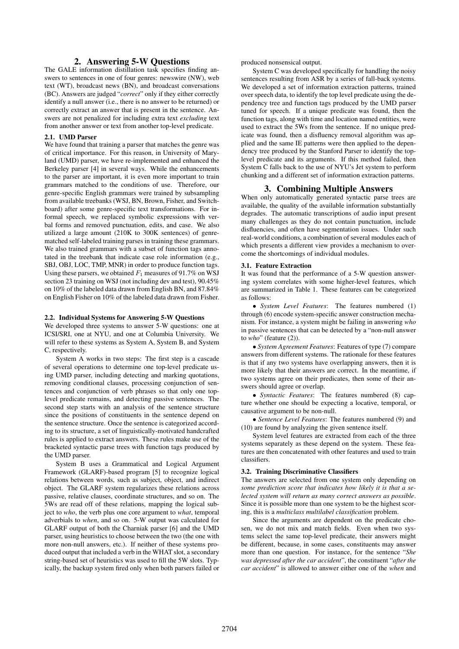# 2. Answering 5-W Questions

The GALE information distillation task specifies finding answers to sentences in one of four genres: newswire (NW), web text (WT), broadcast news (BN), and broadcast conversations (BC). Answers are judged "*correct*" only if they either correctly identify a null answer (i.e., there is no answer to be returned) or correctly extract an answer that is present in the sentence. Answers are not penalized for including extra text *excluding* text from another answer or text from another top-level predicate.

#### 2.1. UMD Parser

We have found that training a parser that matches the genre was of critical importance. For this reason, in University of Maryland (UMD) parser, we have re-implemented and enhanced the Berkeley parser [4] in several ways. While the enhancements to the parser are important, it is even more important to train grammars matched to the conditions of use. Therefore, our genre-specific English grammars were trained by subsampling from available treebanks (WSJ, BN, Brown, Fisher, and Switchboard) after some genre-specific text transformations. For informal speech, we replaced symbolic expressions with verbal forms and removed punctuation, edits, and case. We also utilized a large amount (210K to 300K sentences) of genrematched self-labeled training parses in training these grammars. We also trained grammars with a subset of function tags annotated in the treebank that indicate case role information (e.g., SBJ, OBJ, LOC, TMP, MNR) in order to produce function tags. Using these parsers, we obtained  $F_1$  measures of 91.7% on WSJ section 23 training on WSJ (not including dev and test), 90.45% on 10% of the labeled data drawn from English BN, and 87.84% on English Fisher on 10% of the labeled data drawn from Fisher.

#### 2.2. Individual Systems for Answering 5-W Questions

We developed three systems to answer 5-W questions: one at ICSI/SRI, one at NYU, and one at Columbia University. We will refer to these systems as System A, System B, and System C, respectively.

System A works in two steps: The first step is a cascade of several operations to determine one top-level predicate using UMD parser, including detecting and marking quotations, removing conditional clauses, processing conjunction of sentences and conjunction of verb phrases so that only one toplevel predicate remains, and detecting passive sentences. The second step starts with an analysis of the sentence structure since the positions of constituents in the sentence depend on the sentence structure. Once the sentence is categorized according to its structure, a set of linguistically-motivated handcrafted rules is applied to extract answers. These rules make use of the bracketed syntactic parse trees with function tags produced by the UMD parser.

System B uses a Grammatical and Logical Argument Framework (GLARF)-based program [5] to recognize logical relations between words, such as subject, object, and indirect object. The GLARF system regularizes these relations across passive, relative clauses, coordinate structures, and so on. The 5Ws are read off of these relations, mapping the logical subject to *who*, the verb plus one core argument to *what*, temporal adverbials to *when*, and so on. 5-W output was calculated for GLARF output of both the Charniak parser [6] and the UMD parser, using heuristics to choose between the two (the one with more non-null answers, etc.). If neither of these systems produced output that included a verb in the WHAT slot, a secondary string-based set of heuristics was used to fill the 5W slots. Typically, the backup system fired only when both parsers failed or

produced nonsensical output.

System C was developed specifically for handling the noisy sentences resulting from ASR by a series of fall-back systems. We developed a set of information extraction patterns, trained over speech data, to identify the top level predicate using the dependency tree and function tags produced by the UMD parser tuned for speech. If a unique predicate was found, then the function tags, along with time and location named entities, were used to extract the 5Ws from the sentence. If no unique predicate was found, then a disfluency removal algorithm was applied and the same IE patterns were then applied to the dependency tree produced by the Stanford Parser to identify the toplevel predicate and its arguments. If this method failed, then System C falls back to the use of NYU's Jet system to perform chunking and a different set of information extraction patterns.

# 3. Combining Multiple Answers

When only automatically generated syntactic parse trees are available, the quality of the available information substantially degrades. The automatic transcriptions of audio input present many challenges as they do not contain punctuation, include disfluencies, and often have segmentation issues. Under such real-world conditions, a combination of several modules each of which presents a different view provides a mechanism to overcome the shortcomings of individual modules.

#### 3.1. Feature Extraction

It was found that the performance of a 5-W question answering system correlates with some higher-level features, which are summarized in Table 1. These features can be categorized as follows:

• *System Level Features*: The features numbered (1) through (6) encode system-specific answer construction mechanism. For instance, a system might be failing in answering *who* in passive sentences that can be detected by a "non-null answer to *who*" (feature (2)).

• *System Agreement Features*: Features of type (7) compare answers from different systems. The rationale for these features is that if any two systems have overlapping answers, then it is more likely that their answers are correct. In the meantime, if two systems agree on their predicates, then some of their answers should agree or overlap.

• *Syntactic Features*: The features numbered (8) capture whether one should be expecting a locative, temporal, or causative argument to be non-null.

• *Sentence Level Features*: The features numbered (9) and (10) are found by analyzing the given sentence itself.

System level features are extracted from each of the three systems separately as these depend on the system. These features are then concatenated with other features and used to train classifiers.

#### 3.2. Training Discriminative Classifiers

The answers are selected from one system only depending on *some prediction score that indicates how likely it is that a selected system will return as many correct answers as possible*. Since it is possible more than one system to be the highest scoring, this is a *multiclass multilabel classification* problem.

Since the arguments are dependent on the predicate chosen, we do not mix and match fields. Even when two systems select the same top-level predicate, their answers might be different, because, in some cases, constituents may answer more than one question. For instance, for the sentence "*She was depressed after the car accident*", the constituent "*after the car accident*" is allowed to answer either one of the *when* and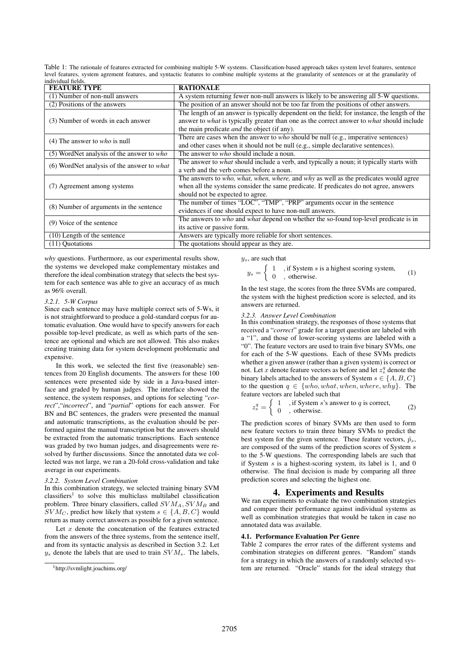Table 1: The rationale of features extracted for combining multiple 5-W systems. Classification-based approach takes system level features, sentence level features, system agrement features, and syntactic features to combine multiple systems at the granularity of sentences or at the granularity of individual field

| murviuuai nenis.                            |                                                                                                         |
|---------------------------------------------|---------------------------------------------------------------------------------------------------------|
| <b>FEATURE TYPE</b>                         | <b>RATIONALE</b>                                                                                        |
| (1) Number of non-null answers              | A system returning fewer non-null answers is likely to be answering all 5-W questions.                  |
| (2) Positions of the answers                | The position of an answer should not be too far from the positions of other answers.                    |
|                                             | The length of an answer is typically dependent on the field; for instance, the length of the            |
| (3) Number of words in each answer          | answer to <i>what</i> is typically greater than one as the correct answer to <i>what</i> should include |
|                                             | the main predicate <i>and</i> the object (if any).                                                      |
| (4) The answer to $who$ is null             | There are cases when the answer to who should be null (e.g., imperative sentences)                      |
|                                             | and other cases when it should not be null (e.g., simple declarative sentences).                        |
| $(5)$ WordNet analysis of the answer to who | The answer to <i>who</i> should include a noun.                                                         |
| (6) WordNet analysis of the answer to what  | The answer to <i>what</i> should include a verb, and typically a noun; it typically starts with         |
|                                             | a verb and the verb comes before a noun.                                                                |
|                                             | The answers to <i>who</i> , <i>what, when, where, and why as well as the predicates would agree</i>     |
| (7) Agreement among systems                 | when all the systems consider the same predicate. If predicates do not agree, answers                   |
|                                             | should not be expected to agree.                                                                        |
| (8) Number of arguments in the sentence     | The number of times "LOC", "TMP", "PRP" arguments occur in the sentence                                 |
|                                             | evidences if one should expect to have non-null answers.                                                |
| (9) Voice of the sentence                   | The answers to who and what depend on whether the so-found top-level predicate is in                    |
|                                             | its active or passive form.                                                                             |
| $(10)$ Length of the sentence               | Answers are typically more reliable for short sentences.                                                |
| (11) Quotations                             | The quotations should appear as they are.                                                               |
|                                             |                                                                                                         |

*why* questions. Furthermore, as our experimental results show, the systems we developed make complementary mistakes and therefore the ideal combination strategy that selects the best system for each sentence was able to give an accuracy of as much as 96% overall.

#### *3.2.1. 5-W Corpus*

Since each sentence may have multiple correct sets of 5-Ws, it is not straightforward to produce a gold-standard corpus for automatic evaluation. One would have to specify answers for each possible top-level predicate, as well as which parts of the sentence are optional and which are not allowed. This also makes creating training data for system development problematic and expensive.

In this work, we selected the first five (reasonable) sentences from 20 English documents. The answers for these 100 sentences were presented side by side in a Java-based interface and graded by human judges. The interface showed the sentence, the system responses, and options for selecting "*correct*","*incorrect*", and "*partial*" options for each answer. For BN and BC sentences, the graders were presented the manual and automatic transcriptions, as the evaluation should be performed against the manual transcription but the answers should be extracted from the automatic transcriptions. Each sentence was graded by two human judges, and disagreements were resolved by further discussions. Since the annotated data we collected was not large, we ran a 20-fold cross-validation and take average in our experiments.

## *3.2.2. System Level Combination*

In this combination strategy, we selected training binary SVM classifiers<sup>1</sup> to solve this multiclass multilabel classification problem. Three binary classifiers, called  $SVM<sub>A</sub>, SVM<sub>B</sub>$  and  $SVM_C$ , predict how likely that system  $s \in \{A, B, C\}$  would return as many correct answers as possible for a given sentence.

Let  $x$  denote the concatenation of the features extracted from the answers of the three systems, from the sentence itself, and from its syntactic analysis as described in Section 3.2. Let  $y_s$  denote the labels that are used to train  $SVM_s$ . The labels,  $y_s$ , are such that

$$
y_s = \begin{cases} 1, & \text{if System } s \text{ is a highest scoring system,} \\ 0, & \text{otherwise.} \end{cases}
$$
 (1)

In the test stage, the scores from the three SVMs are compared, the system with the highest prediction score is selected, and its answers are returned.

## *3.2.3. Answer Level Combination*

In this combination strategy, the responses of those systems that received a "*correct*" grade for a target question are labeled with a "1", and those of lower-scoring systems are labeled with a "0". The feature vectors are used to train five binary SVMs, one for each of the 5-W questions. Each of these SVMs predicts whether a given answer (rather than a given system) is correct or not. Let x denote feature vectors as before and let  $z_s^q$  denote the binary labels attached to the answers of System  $s \in \{A, B, C\}$ to the question  $q \in \{who, what, when, where, why\}$ . The feature vectors are labeled such that

$$
z_s^q = \begin{cases} 1, & \text{if System } s \text{'s answer to } q \text{ is correct,} \\ 0, & \text{otherwise.} \end{cases}
$$
 (2)

The prediction scores of binary SVMs are then used to form new feature vectors to train three binary SVMs to predict the best system for the given sentence. These feature vectors,  $\hat{p}_s$ , are composed of the sums of the prediction scores of System s to the 5-W questions. The corresponding labels are such that if System  $s$  is a highest-scoring system, its label is 1, and 0 otherwise. The final decision is made by comparing all three prediction scores and selecting the highest one.

# 4. Experiments and Results

We ran experiments to evaluate the two combination strategies and compare their performance against individual systems as well as combination strategies that would be taken in case no annotated data was available.

# 4.1. Performance Evaluation Per Genre

Table 2 compares the error rates of the different systems and combination strategies on different genres. "Random" stands for a strategy in which the answers of a randomly selected system are returned. "Oracle" stands for the ideal strategy that

<sup>1</sup>http://svmlight.joachims.org/